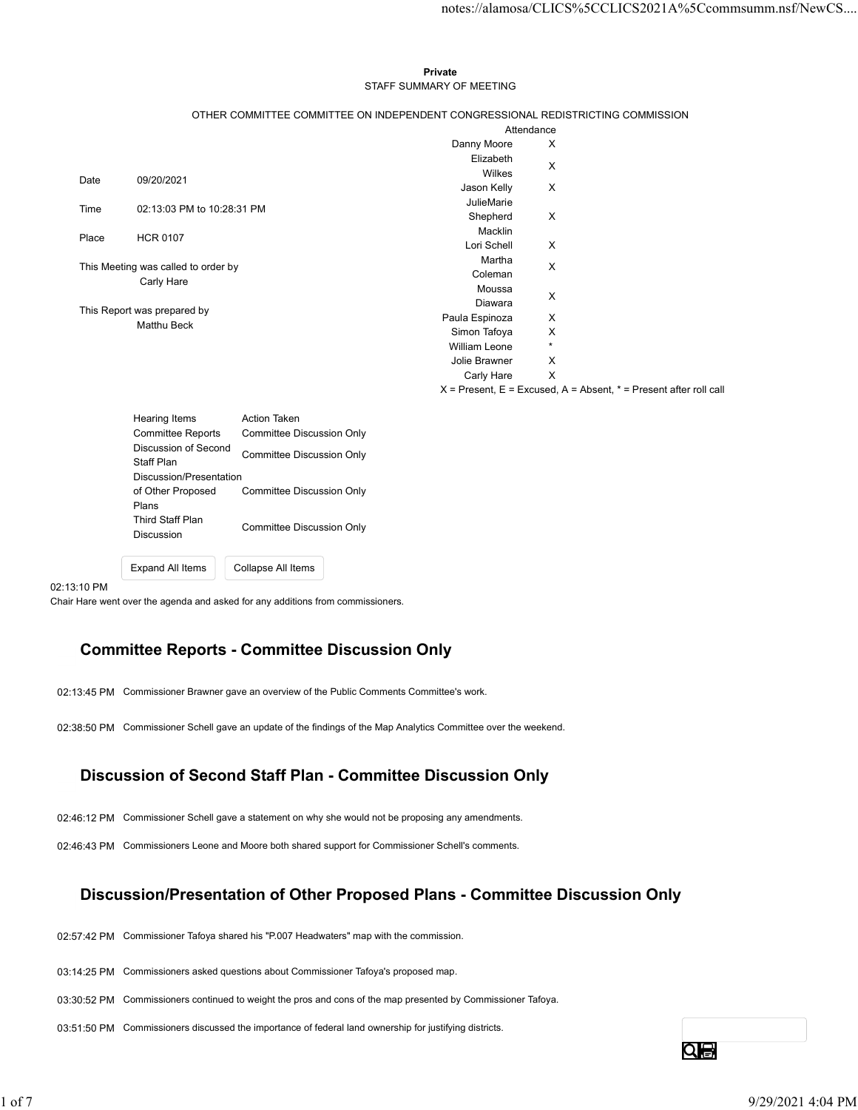## Private **Private** and *Private* and *Private* and *Private* and *Private* and *Private* and *Private* and *Private* and *Private* and *Private* and *Private* and *Private* and *Private* and *Private* and *Private* and *Pri* STAFF SUMMARY OF MEETING

|       |                                                   |                                                  |                                                                                               |                           | notes://alamosa/CLICS%5CCLICS2021A%5Ccommsumm.nsf/NewCS                   |  |
|-------|---------------------------------------------------|--------------------------------------------------|-----------------------------------------------------------------------------------------------|---------------------------|---------------------------------------------------------------------------|--|
|       |                                                   |                                                  |                                                                                               |                           |                                                                           |  |
|       |                                                   |                                                  |                                                                                               |                           |                                                                           |  |
|       |                                                   |                                                  | Private                                                                                       |                           |                                                                           |  |
|       |                                                   |                                                  | STAFF SUMMARY OF MEETING                                                                      |                           |                                                                           |  |
|       |                                                   |                                                  |                                                                                               |                           |                                                                           |  |
|       |                                                   |                                                  | OTHER COMMITTEE COMMITTEE ON INDEPENDENT CONGRESSIONAL REDISTRICTING COMMISSION<br>Attendance |                           |                                                                           |  |
|       |                                                   |                                                  | Danny Moore                                                                                   | X                         |                                                                           |  |
|       |                                                   |                                                  | Elizabeth                                                                                     |                           |                                                                           |  |
| Date  | 09/20/2021                                        |                                                  | Wilkes                                                                                        | X                         |                                                                           |  |
|       |                                                   |                                                  | Jason Kelly                                                                                   | X                         |                                                                           |  |
| Time  | 02:13:03 PM to 10:28:31 PM                        |                                                  | JulieMarie                                                                                    |                           |                                                                           |  |
|       |                                                   |                                                  | Shepherd<br>Macklin                                                                           | X                         |                                                                           |  |
| Place | <b>HCR 0107</b>                                   |                                                  | Lori Schell                                                                                   | X                         |                                                                           |  |
|       |                                                   |                                                  | Martha                                                                                        |                           |                                                                           |  |
|       | This Meeting was called to order by<br>Carly Hare |                                                  | Coleman                                                                                       | $\boldsymbol{\mathsf{X}}$ |                                                                           |  |
|       |                                                   |                                                  | Moussa                                                                                        | X                         |                                                                           |  |
|       | This Report was prepared by                       |                                                  | Diawara                                                                                       |                           |                                                                           |  |
|       | Matthu Beck                                       |                                                  | Paula Espinoza                                                                                | X                         |                                                                           |  |
|       |                                                   |                                                  | Simon Tafoya<br>William Leone                                                                 | X<br>$\star$              |                                                                           |  |
|       |                                                   |                                                  | Jolie Brawner                                                                                 | X                         |                                                                           |  |
|       |                                                   |                                                  | Carly Hare                                                                                    | $\mathsf{X}$              |                                                                           |  |
|       |                                                   |                                                  |                                                                                               |                           | $X =$ Present, $E =$ Excused, $A =$ Absent, $* =$ Present after roll call |  |
|       |                                                   |                                                  |                                                                                               |                           |                                                                           |  |
|       | Hearing Items<br><b>Committee Reports</b>         | Action Taken<br><b>Committee Discussion Only</b> |                                                                                               |                           |                                                                           |  |
|       | Discussion of Second                              |                                                  |                                                                                               |                           |                                                                           |  |
|       | Staff Plan                                        | <b>Committee Discussion Only</b>                 |                                                                                               |                           |                                                                           |  |
|       | Discussion/Presentation                           |                                                  |                                                                                               |                           |                                                                           |  |
|       | of Other Proposed                                 | <b>Committee Discussion Only</b>                 |                                                                                               |                           |                                                                           |  |
|       | Plans                                             |                                                  |                                                                                               |                           |                                                                           |  |
|       | Third Staff Plan                                  |                                                  |                                                                                               |                           |                                                                           |  |

Discussion of Second Discussion of Second<br>
Committee Discussion Only<br>
Staff Plan Discussion/Presentation of Other Proposed Committee Discussion Only Plans **Plans Plans** Third Staff Plan Discussion Committee Discussion Only

## 02:13:10 PM

Chair Hare went over the agenda and asked for any additions from commissioners.

Expand All Items Collapse All Items

## Committee Reports - Committee Discussion Only

02:13:45 PM Commissioner Brawner gave an overview of the Public Comments Committee's work.

02:38:50 PM Commissioner Schell gave an update of the findings of the Map Analytics Committee over the weekend.

# Discussion of Second Staff Plan - Committee Discussion Only

02:46:12 PM Commissioner Schell gave a statement on why she would not be proposing any amendments.

02:46:43 PM Commissioners Leone and Moore both shared support for Commissioner Schell's comments.

# Discussion/Presentation of Other Proposed Plans - Committee Discussion Only Discussion of Second Staff Plan - Committee Discussion Only<br>
12:46:12 PM Commissioner Schel gave a statement on why she would not be proposing any amendments.<br>
12:46:43 PM Commissiones Leone and Moore both shared support f

02:57:42 PM Commissioner Tafoya shared his "P.007 Headwaters" map with the commission.

03:14:25 PM Commissioners asked questions about Commissioner Tafoya's proposed map.

03:30:52 PM Commissioners continued to weight the pros and cons of the map presented by Commissioner Tafoya.

03:51:50 PM Commissioners discussed the importance of federal land ownership for justifying districts.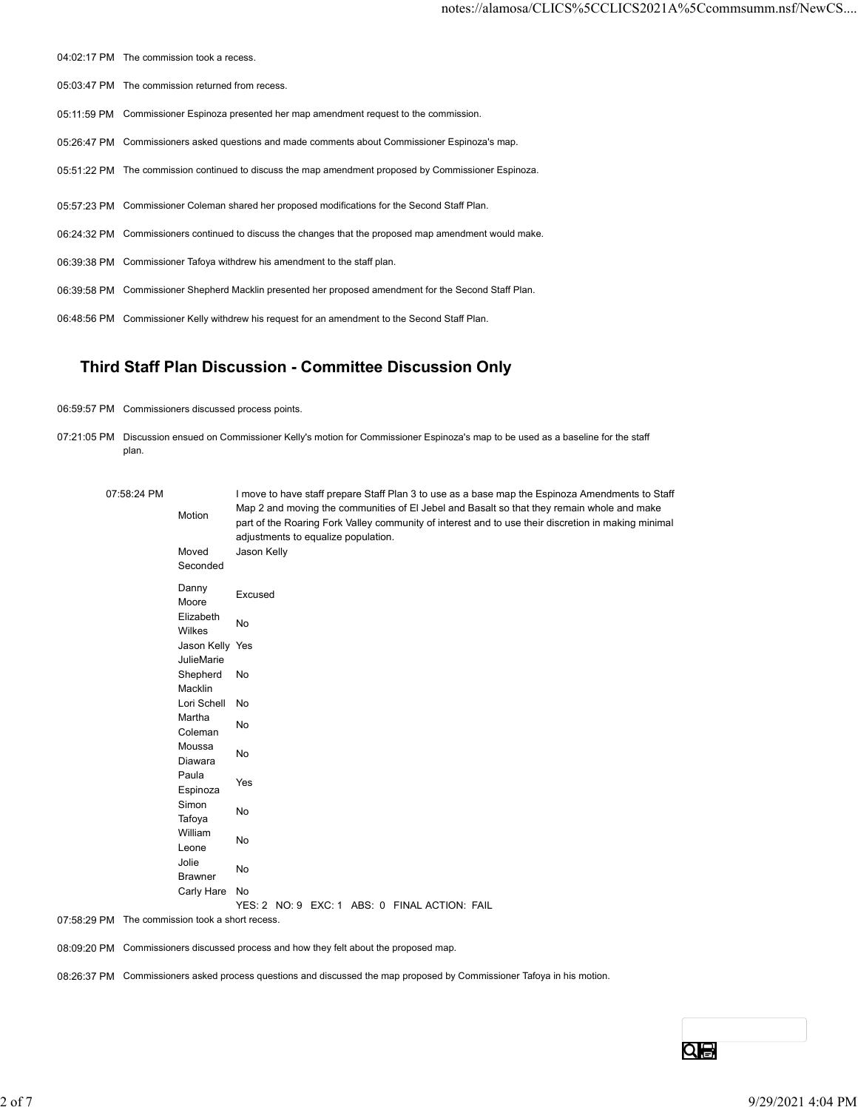- 04:02:17 PM The commission took a recess.
- 05:03:47 PM The commission returned from recess.
- 05:11:59 PM Commissioner Espinoza presented her map amendment request to the commission.
- 05:26:47 PM Commissioners asked questions and made comments about Commissioner Espinoza's map.
- 05:51:22 PM The commission continued to discuss the map amendment proposed by Commissioner Espinoza.
- 05:57:23 PM Commissioner Coleman shared her proposed modifications for the Second Staff Plan.
- 06:24:32 PM Commissioners continued to discuss the changes that the proposed map amendment would make.
- 06:39:38 PM Commissioner Tafoya withdrew his amendment to the staff plan.
- 06:39:58 PM Commissioner Shepherd Macklin presented her proposed amendment for the Second Staff Plan.
- 06:48:56 PM Commissioner Kelly withdrew his request for an amendment to the Second Staff Plan.

# Third Staff Plan Discussion - Committee Discussion Only

- 06:59:57 PM Commissioners discussed process points.
- 07:21:05 PM Discussion ensued on Commissioner Kelly's motion for Commissioner Espinoza's map to be used as a baseline for the staff plan.

| 05:57:23 PM Commissioner Coleman shared her proposed modifications for the Second Staff Plan.<br>06:24:32 PM Commissioners continued to discuss the changes that the proposed map amendment would make.<br>06:39:38 PM Commissioner Tafoya withdrew his amendment to the staff plan.<br>06:39:58 PM Commissioner Shepherd Macklin presented her proposed amendment for the Second Staff Plan.<br>06:48:56 PM Commissioner Kelly withdrew his request for an amendment to the Second Staff Plan.<br>Third Staff Plan Discussion - Committee Discussion Only<br>06:59:57 PM Commissioners discussed process points.<br>07:21:05 PM Discussion ensued on Commissioner Kelly's motion for Commissioner Espinoza's map to be used as a baseline for the staff<br>plan.<br>07:58:24 PM<br>I move to have staff prepare Staff Plan 3 to use as a base map the Espinoza Amendments to Staff<br>Map 2 and moving the communities of EI Jebel and Basalt so that they remain whole and make<br>Motion<br>part of the Roaring Fork Valley community of interest and to use their discretion in making minimal<br>adjustments to equalize population.<br>Jason Kelly<br>Moved<br>Seconded<br>Danny<br>Excused<br>Moore<br>Elizabeth<br>No<br>Wilkes<br>Jason Kelly Yes<br>JulieMarie<br>Shepherd No<br>Macklin<br>Lori Schell No<br>Martha<br>No<br>Coleman<br>Moussa<br>No<br>Diawara<br>Paula<br>Yes<br>Espinoza<br>Simon<br>No<br>Tafoya<br>William<br>No<br>Leone<br>Jolie<br>No<br>Brawner<br>Carly Hare No<br>YES: 2 NO: 9 EXC: 1 ABS: 0 FINAL ACTION: FAIL<br>07:58:29 PM The commission took a short recess.<br>08:09:20 PM Commissioners discussed process and how they felt about the proposed map. | 08:26:37 PM Commissioners asked process questions and discussed the map proposed by Commissioner Tafoya in his motion. |  |  |                   |
|---------------------------------------------------------------------------------------------------------------------------------------------------------------------------------------------------------------------------------------------------------------------------------------------------------------------------------------------------------------------------------------------------------------------------------------------------------------------------------------------------------------------------------------------------------------------------------------------------------------------------------------------------------------------------------------------------------------------------------------------------------------------------------------------------------------------------------------------------------------------------------------------------------------------------------------------------------------------------------------------------------------------------------------------------------------------------------------------------------------------------------------------------------------------------------------------------------------------------------------------------------------------------------------------------------------------------------------------------------------------------------------------------------------------------------------------------------------------------------------------------------------------------------------------------------------------------------------------------------------------------------------------------------------------------------------------------|------------------------------------------------------------------------------------------------------------------------|--|--|-------------------|
|                                                                                                                                                                                                                                                                                                                                                                                                                                                                                                                                                                                                                                                                                                                                                                                                                                                                                                                                                                                                                                                                                                                                                                                                                                                                                                                                                                                                                                                                                                                                                                                                                                                                                                   |                                                                                                                        |  |  |                   |
|                                                                                                                                                                                                                                                                                                                                                                                                                                                                                                                                                                                                                                                                                                                                                                                                                                                                                                                                                                                                                                                                                                                                                                                                                                                                                                                                                                                                                                                                                                                                                                                                                                                                                                   |                                                                                                                        |  |  |                   |
|                                                                                                                                                                                                                                                                                                                                                                                                                                                                                                                                                                                                                                                                                                                                                                                                                                                                                                                                                                                                                                                                                                                                                                                                                                                                                                                                                                                                                                                                                                                                                                                                                                                                                                   |                                                                                                                        |  |  |                   |
|                                                                                                                                                                                                                                                                                                                                                                                                                                                                                                                                                                                                                                                                                                                                                                                                                                                                                                                                                                                                                                                                                                                                                                                                                                                                                                                                                                                                                                                                                                                                                                                                                                                                                                   |                                                                                                                        |  |  |                   |
|                                                                                                                                                                                                                                                                                                                                                                                                                                                                                                                                                                                                                                                                                                                                                                                                                                                                                                                                                                                                                                                                                                                                                                                                                                                                                                                                                                                                                                                                                                                                                                                                                                                                                                   |                                                                                                                        |  |  |                   |
|                                                                                                                                                                                                                                                                                                                                                                                                                                                                                                                                                                                                                                                                                                                                                                                                                                                                                                                                                                                                                                                                                                                                                                                                                                                                                                                                                                                                                                                                                                                                                                                                                                                                                                   |                                                                                                                        |  |  |                   |
|                                                                                                                                                                                                                                                                                                                                                                                                                                                                                                                                                                                                                                                                                                                                                                                                                                                                                                                                                                                                                                                                                                                                                                                                                                                                                                                                                                                                                                                                                                                                                                                                                                                                                                   |                                                                                                                        |  |  |                   |
|                                                                                                                                                                                                                                                                                                                                                                                                                                                                                                                                                                                                                                                                                                                                                                                                                                                                                                                                                                                                                                                                                                                                                                                                                                                                                                                                                                                                                                                                                                                                                                                                                                                                                                   |                                                                                                                        |  |  |                   |
|                                                                                                                                                                                                                                                                                                                                                                                                                                                                                                                                                                                                                                                                                                                                                                                                                                                                                                                                                                                                                                                                                                                                                                                                                                                                                                                                                                                                                                                                                                                                                                                                                                                                                                   |                                                                                                                        |  |  |                   |
|                                                                                                                                                                                                                                                                                                                                                                                                                                                                                                                                                                                                                                                                                                                                                                                                                                                                                                                                                                                                                                                                                                                                                                                                                                                                                                                                                                                                                                                                                                                                                                                                                                                                                                   |                                                                                                                        |  |  |                   |
|                                                                                                                                                                                                                                                                                                                                                                                                                                                                                                                                                                                                                                                                                                                                                                                                                                                                                                                                                                                                                                                                                                                                                                                                                                                                                                                                                                                                                                                                                                                                                                                                                                                                                                   |                                                                                                                        |  |  |                   |
|                                                                                                                                                                                                                                                                                                                                                                                                                                                                                                                                                                                                                                                                                                                                                                                                                                                                                                                                                                                                                                                                                                                                                                                                                                                                                                                                                                                                                                                                                                                                                                                                                                                                                                   |                                                                                                                        |  |  |                   |
|                                                                                                                                                                                                                                                                                                                                                                                                                                                                                                                                                                                                                                                                                                                                                                                                                                                                                                                                                                                                                                                                                                                                                                                                                                                                                                                                                                                                                                                                                                                                                                                                                                                                                                   |                                                                                                                        |  |  |                   |
|                                                                                                                                                                                                                                                                                                                                                                                                                                                                                                                                                                                                                                                                                                                                                                                                                                                                                                                                                                                                                                                                                                                                                                                                                                                                                                                                                                                                                                                                                                                                                                                                                                                                                                   |                                                                                                                        |  |  |                   |
|                                                                                                                                                                                                                                                                                                                                                                                                                                                                                                                                                                                                                                                                                                                                                                                                                                                                                                                                                                                                                                                                                                                                                                                                                                                                                                                                                                                                                                                                                                                                                                                                                                                                                                   |                                                                                                                        |  |  |                   |
|                                                                                                                                                                                                                                                                                                                                                                                                                                                                                                                                                                                                                                                                                                                                                                                                                                                                                                                                                                                                                                                                                                                                                                                                                                                                                                                                                                                                                                                                                                                                                                                                                                                                                                   |                                                                                                                        |  |  |                   |
|                                                                                                                                                                                                                                                                                                                                                                                                                                                                                                                                                                                                                                                                                                                                                                                                                                                                                                                                                                                                                                                                                                                                                                                                                                                                                                                                                                                                                                                                                                                                                                                                                                                                                                   |                                                                                                                        |  |  |                   |
|                                                                                                                                                                                                                                                                                                                                                                                                                                                                                                                                                                                                                                                                                                                                                                                                                                                                                                                                                                                                                                                                                                                                                                                                                                                                                                                                                                                                                                                                                                                                                                                                                                                                                                   |                                                                                                                        |  |  |                   |
|                                                                                                                                                                                                                                                                                                                                                                                                                                                                                                                                                                                                                                                                                                                                                                                                                                                                                                                                                                                                                                                                                                                                                                                                                                                                                                                                                                                                                                                                                                                                                                                                                                                                                                   |                                                                                                                        |  |  |                   |
|                                                                                                                                                                                                                                                                                                                                                                                                                                                                                                                                                                                                                                                                                                                                                                                                                                                                                                                                                                                                                                                                                                                                                                                                                                                                                                                                                                                                                                                                                                                                                                                                                                                                                                   |                                                                                                                        |  |  |                   |
|                                                                                                                                                                                                                                                                                                                                                                                                                                                                                                                                                                                                                                                                                                                                                                                                                                                                                                                                                                                                                                                                                                                                                                                                                                                                                                                                                                                                                                                                                                                                                                                                                                                                                                   |                                                                                                                        |  |  |                   |
|                                                                                                                                                                                                                                                                                                                                                                                                                                                                                                                                                                                                                                                                                                                                                                                                                                                                                                                                                                                                                                                                                                                                                                                                                                                                                                                                                                                                                                                                                                                                                                                                                                                                                                   |                                                                                                                        |  |  |                   |
|                                                                                                                                                                                                                                                                                                                                                                                                                                                                                                                                                                                                                                                                                                                                                                                                                                                                                                                                                                                                                                                                                                                                                                                                                                                                                                                                                                                                                                                                                                                                                                                                                                                                                                   |                                                                                                                        |  |  |                   |
|                                                                                                                                                                                                                                                                                                                                                                                                                                                                                                                                                                                                                                                                                                                                                                                                                                                                                                                                                                                                                                                                                                                                                                                                                                                                                                                                                                                                                                                                                                                                                                                                                                                                                                   |                                                                                                                        |  |  |                   |
|                                                                                                                                                                                                                                                                                                                                                                                                                                                                                                                                                                                                                                                                                                                                                                                                                                                                                                                                                                                                                                                                                                                                                                                                                                                                                                                                                                                                                                                                                                                                                                                                                                                                                                   |                                                                                                                        |  |  |                   |
|                                                                                                                                                                                                                                                                                                                                                                                                                                                                                                                                                                                                                                                                                                                                                                                                                                                                                                                                                                                                                                                                                                                                                                                                                                                                                                                                                                                                                                                                                                                                                                                                                                                                                                   |                                                                                                                        |  |  |                   |
|                                                                                                                                                                                                                                                                                                                                                                                                                                                                                                                                                                                                                                                                                                                                                                                                                                                                                                                                                                                                                                                                                                                                                                                                                                                                                                                                                                                                                                                                                                                                                                                                                                                                                                   |                                                                                                                        |  |  |                   |
|                                                                                                                                                                                                                                                                                                                                                                                                                                                                                                                                                                                                                                                                                                                                                                                                                                                                                                                                                                                                                                                                                                                                                                                                                                                                                                                                                                                                                                                                                                                                                                                                                                                                                                   |                                                                                                                        |  |  |                   |
|                                                                                                                                                                                                                                                                                                                                                                                                                                                                                                                                                                                                                                                                                                                                                                                                                                                                                                                                                                                                                                                                                                                                                                                                                                                                                                                                                                                                                                                                                                                                                                                                                                                                                                   |                                                                                                                        |  |  |                   |
|                                                                                                                                                                                                                                                                                                                                                                                                                                                                                                                                                                                                                                                                                                                                                                                                                                                                                                                                                                                                                                                                                                                                                                                                                                                                                                                                                                                                                                                                                                                                                                                                                                                                                                   |                                                                                                                        |  |  |                   |
|                                                                                                                                                                                                                                                                                                                                                                                                                                                                                                                                                                                                                                                                                                                                                                                                                                                                                                                                                                                                                                                                                                                                                                                                                                                                                                                                                                                                                                                                                                                                                                                                                                                                                                   |                                                                                                                        |  |  |                   |
| $Q_{\bigoplus}$                                                                                                                                                                                                                                                                                                                                                                                                                                                                                                                                                                                                                                                                                                                                                                                                                                                                                                                                                                                                                                                                                                                                                                                                                                                                                                                                                                                                                                                                                                                                                                                                                                                                                   |                                                                                                                        |  |  |                   |
|                                                                                                                                                                                                                                                                                                                                                                                                                                                                                                                                                                                                                                                                                                                                                                                                                                                                                                                                                                                                                                                                                                                                                                                                                                                                                                                                                                                                                                                                                                                                                                                                                                                                                                   |                                                                                                                        |  |  | 9/29/2021 4:04 PM |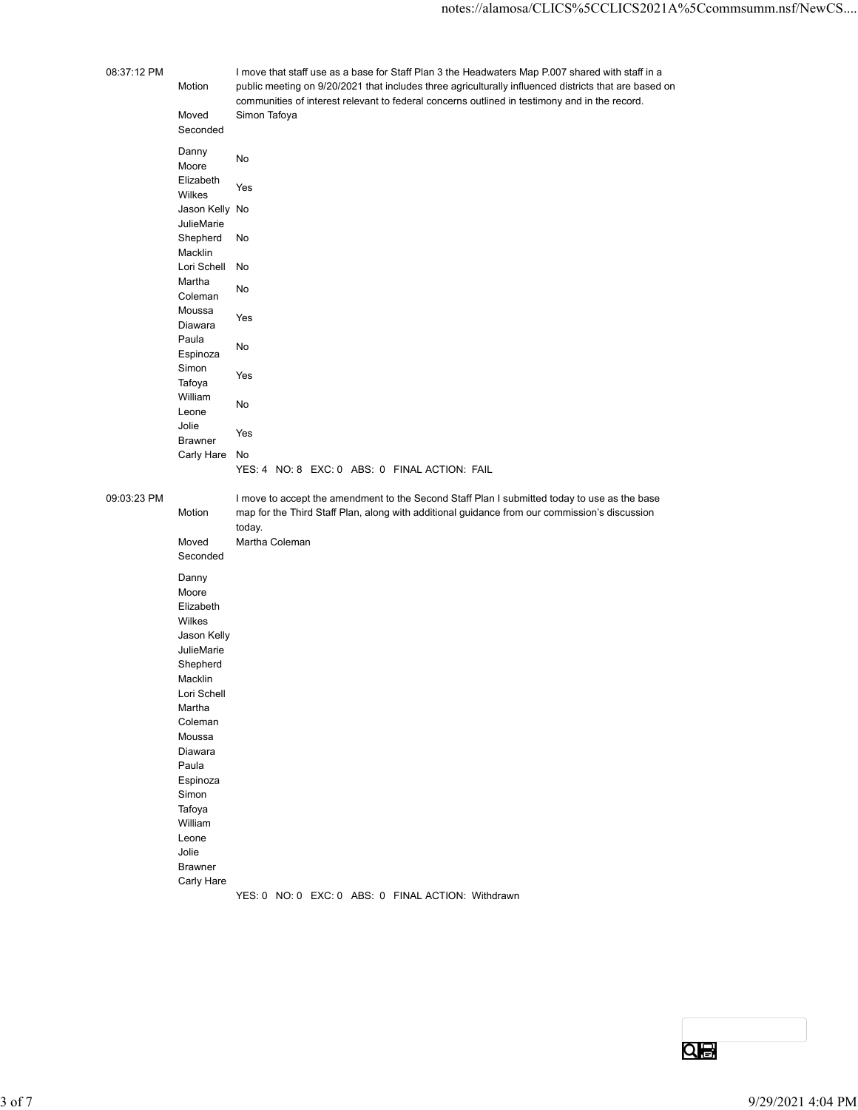# 08:37:12 PM I move that staff use as a base for Staff Plan 3 the Headwaters Map P.007 shared with staff in a Motion public meeting on 9/20/2021 that includes three agriculturally influenced districts that are based on communities of interest relevant to federal concerns outlined in testimony and in the record. motes://alamosa/CLICS%5CCLICS2021A%5<br>
I move that staff use as a base for Staff Plan 3 the Headwaters Map P.007 shared with staff in a<br>
Motion public meeting on 9/20/2021 that includes three agriculturally influenced distr Seconded Danny<br> **No** <u>Definity</u><br>Moore No Elizabeth<br>
Yes <u>Literature</u><br>Wilkes Yes move that staff use as a base for Staff Plan 3 the Headwaters Map P007 shared with staff in a<br>public meeting on 9/20/2021 that includes three agriculturally influenced districts that are based on<br>communities of interest re JulieMarie Shepherd No Macklin No move that staff use as a base for Staff Plan 3 the Headwaters Map P.007 shared with staff in a<br>public meeting on 9/20/2021 that includes three agriculturally influenced districts that are based on<br>communities of interest r Martha<br>
a : mandia<br>Coleman No Moussa<br>
Nisussa<br>
Yes wodood Yes<br>Diawara Yes Paula de la construcción de la construcción de la construcción de la construcción de la construcción de la con ndia amin'ny fivondronan-kaominin'i Normandie, ao Frantsa.<br>Espinoza Simon<br>Tafaus Yes undu.<br>Tafoya Yes William **and the contract of the contract of the contract of the contract of the contract of the contract of the contract of the contract of the contract of the contract of the contract of the contract of the contract of t** Leone No Jolie edings and the Messacre of the Messacre of the Messacre of the Messacre of the Messacre of the Messacre of the<br>Brawner of the Messacre of the Messacre of the Messacre of the Messacre of the Messacre of the Messacre of the Motion<br>
Motor Carly Hare III of the Second Carly Carly Carly Carly Carly Carly Carly Carly Carly Second<br>
Motor Second Simon Tafoya<br>
Motor Second<br>
Motor Second Views<br>
Motor Carly No<br>
Motor Carly No<br>
Motor Shapherd No<br>
Motor Elizabeth<br>
Mikliskare<br>
Mikliskare<br>
Machine<br>
Machine<br>
Machine<br>
Machine<br>
Machine<br>
Machine<br>
Machine<br>
Coleman<br>
Moved<br>
Simpon<br>
Villism<br>
Miklistare<br>
Carly Hare<br>
Moved Wark<br>
Machine<br>
Machine<br>
Machine<br>
Machine<br>
Machine<br>
Machine<br>
M

YES: 4 NO: 8 EXC: 0 ABS: 0 FINAL ACTION: FAIL

09:03:23 PM I move to accept the amendment to the Second Staff Plan I submitted today to use as the base Motion map for the Third Staff Plan, along with additional guidance from our commission's discussion today. Seconded Danny Moore Elizabeth

|            | <b>Elizane</b> ti i                                |                   |
|------------|----------------------------------------------------|-------------------|
|            | Wilkes                                             |                   |
|            | Jason Kelly                                        |                   |
|            | JulieMarie                                         |                   |
|            | Shepherd                                           |                   |
|            | Macklin                                            |                   |
|            | Lori Schell                                        |                   |
|            | Martha                                             |                   |
|            | Coleman                                            |                   |
|            | Moussa                                             |                   |
|            | Diawara                                            |                   |
|            | Paula                                              |                   |
|            | Espinoza                                           |                   |
|            | Simon                                              |                   |
|            | Tafoya                                             |                   |
|            | William                                            |                   |
|            | Leone                                              |                   |
|            | Jolie                                              |                   |
|            | Brawner                                            |                   |
|            | Carly Hare                                         |                   |
|            | YES: 0 NO: 0 EXC: 0 ABS: 0 FINAL ACTION: Withdrawn |                   |
|            |                                                    |                   |
|            |                                                    |                   |
|            |                                                    |                   |
|            |                                                    |                   |
|            |                                                    |                   |
|            |                                                    |                   |
|            |                                                    |                   |
|            |                                                    |                   |
|            |                                                    |                   |
|            |                                                    |                   |
|            |                                                    | $Q_{\bigoplus}$   |
|            |                                                    |                   |
|            |                                                    |                   |
| $3$ of $7$ |                                                    | 9/29/2021 4:04 PM |
|            |                                                    |                   |

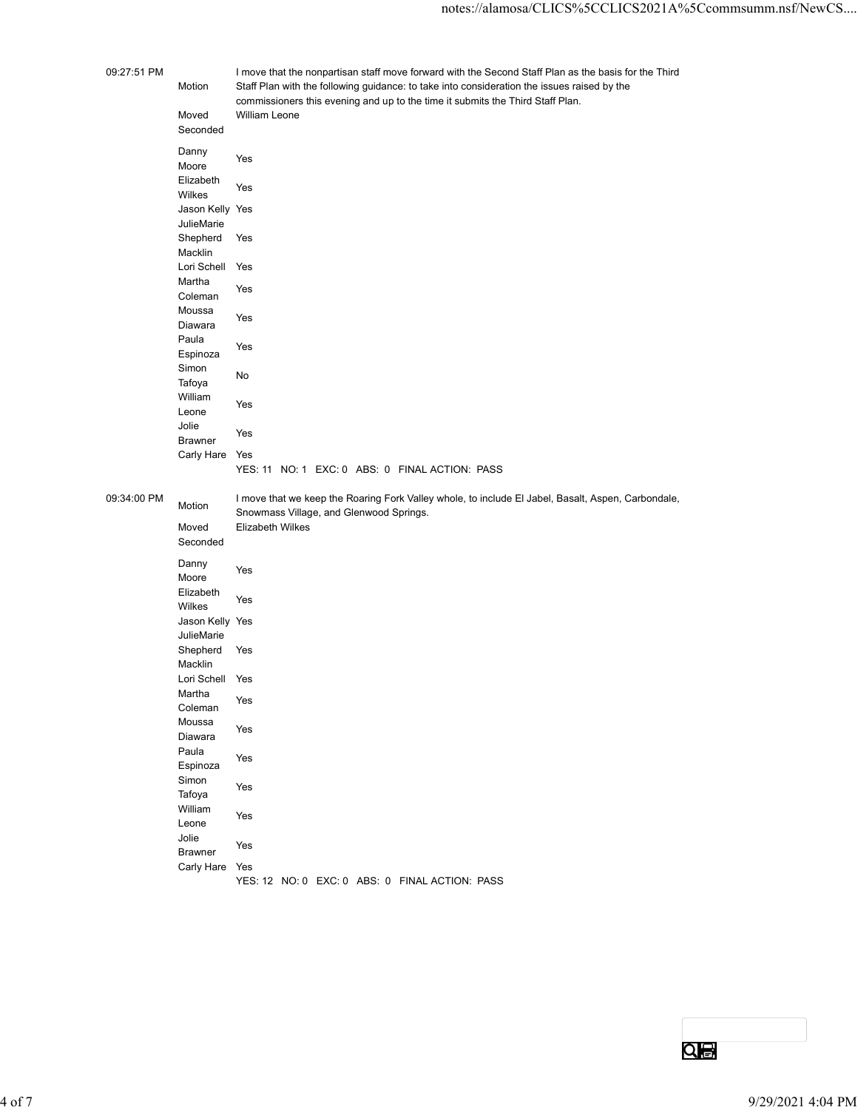| 09:27:51 PM |                            | I move that the nonpartisan staff move forward with the Second Staff Plan as the basis for the Third                                                                          |
|-------------|----------------------------|-------------------------------------------------------------------------------------------------------------------------------------------------------------------------------|
|             | Motion                     | Staff Plan with the following guidance: to take into consideration the issues raised by the<br>commissioners this evening and up to the time it submits the Third Staff Plan. |
|             | Moved<br>Seconded          | William Leone                                                                                                                                                                 |
|             | Danny                      | Yes                                                                                                                                                                           |
|             | Moore                      |                                                                                                                                                                               |
|             | Elizabeth<br>Wilkes        | Yes                                                                                                                                                                           |
|             | Jason Kelly Yes            |                                                                                                                                                                               |
|             | JulieMarie<br>Shepherd     | Yes                                                                                                                                                                           |
|             | Macklin                    |                                                                                                                                                                               |
|             | Lori Schell Yes<br>Martha  |                                                                                                                                                                               |
|             | Coleman                    | Yes                                                                                                                                                                           |
|             | Moussa<br>Diawara          | Yes                                                                                                                                                                           |
|             | Paula<br>Espinoza          | Yes                                                                                                                                                                           |
|             | Simon                      | No                                                                                                                                                                            |
|             | Tafoya<br>William          |                                                                                                                                                                               |
|             | Leone                      | Yes                                                                                                                                                                           |
|             | Jolie<br>Brawner           | Yes                                                                                                                                                                           |
|             | Carly Hare Yes             | YES: 11 NO: 1 EXC: 0 ABS: 0 FINAL ACTION: PASS                                                                                                                                |
|             |                            |                                                                                                                                                                               |
| 09:34:00 PM | Motion                     | I move that we keep the Roaring Fork Valley whole, to include El Jabel, Basalt, Aspen, Carbondale,<br>Snowmass Village, and Glenwood Springs.                                 |
|             | Moved<br>Seconded          | Elizabeth Wilkes                                                                                                                                                              |
|             | Danny                      |                                                                                                                                                                               |
|             | Moore                      | Yes                                                                                                                                                                           |
|             | Elizabeth<br>Wilkes        | Yes                                                                                                                                                                           |
|             | Jason Kelly Yes            |                                                                                                                                                                               |
|             | JulieMarie<br>Shepherd     | Yes                                                                                                                                                                           |
|             | Macklin<br>Lori Schell Yes |                                                                                                                                                                               |
|             | Martha                     | Yes                                                                                                                                                                           |
|             | Coleman<br>Moussa          |                                                                                                                                                                               |
|             | Diawara                    | Yes                                                                                                                                                                           |
|             | Paula<br>Espinoza          | Yes                                                                                                                                                                           |
|             | Simon                      | Yes                                                                                                                                                                           |
|             | Tafoya<br>William          |                                                                                                                                                                               |
|             | Leone                      | Yes                                                                                                                                                                           |
|             | Jolie<br>Brawner           | Yes                                                                                                                                                                           |
|             | Carly Hare Yes             | YES: 12 NO: 0 EXC: 0 ABS: 0 FINAL ACTION: PASS                                                                                                                                |
|             |                            |                                                                                                                                                                               |

| Shepherd Yes<br>Macklin<br>Lori Schell Yes<br>Martha<br>Yes |                   |
|-------------------------------------------------------------|-------------------|
|                                                             |                   |
|                                                             |                   |
|                                                             |                   |
| Coleman                                                     |                   |
| Moussa<br>Yes                                               |                   |
| Diawara<br>Paula                                            |                   |
| Yes<br>Espinoza                                             |                   |
| Simon<br>Yes                                                |                   |
| Tafoya<br>William                                           |                   |
| Yes<br>Leone                                                |                   |
| Jolie<br>Yes                                                |                   |
| Brawner<br>Carly Hare Yes                                   |                   |
| YES: 12 NO: 0 EXC: 0 ABS: 0 FINAL ACTION: PASS              |                   |
|                                                             |                   |
|                                                             |                   |
|                                                             |                   |
|                                                             |                   |
|                                                             |                   |
|                                                             |                   |
|                                                             |                   |
|                                                             |                   |
|                                                             | $Q_{\odot}$       |
|                                                             |                   |
|                                                             | 9/29/2021 4:04 PM |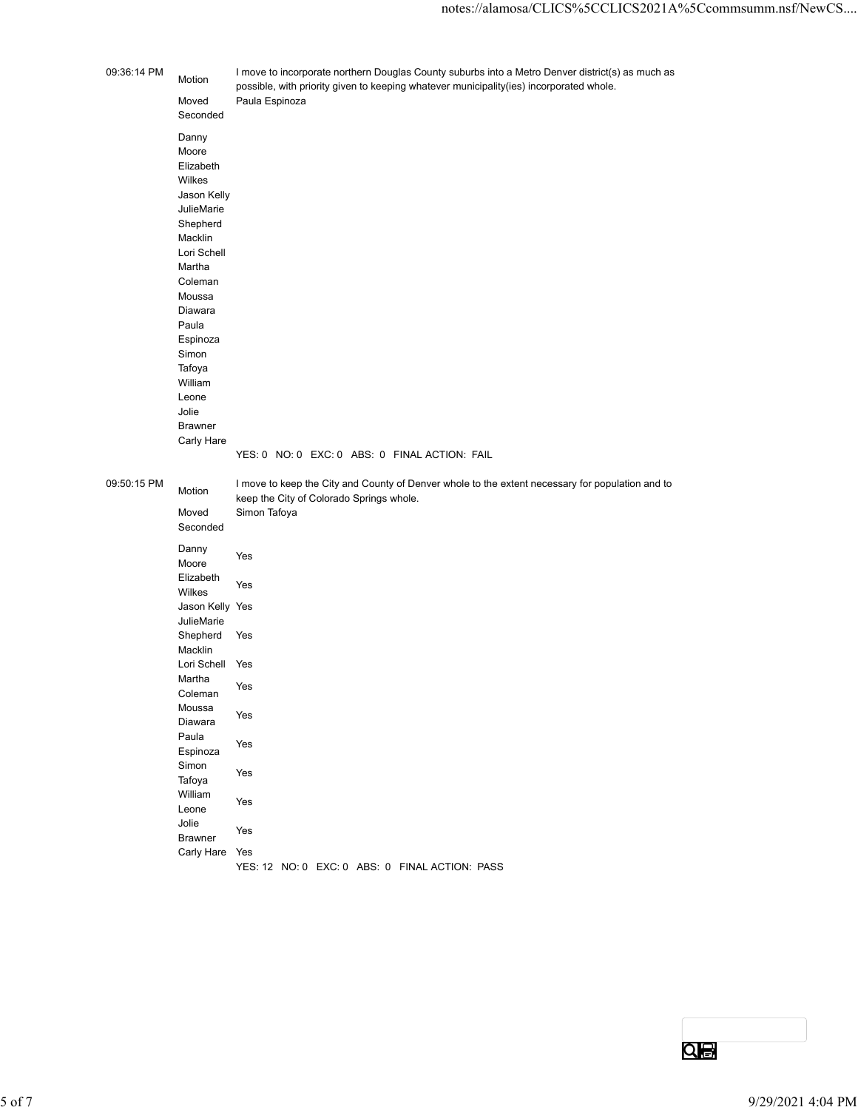| 09:36:14 PM<br>I move to incorporate northern Douglas County suburbs into a Metro Denver district(s) as much as<br>Motion<br>possible, with priority given to keeping whatever municipality(ies) incorporated whole.<br>Paula Espinoza<br>Moved<br>Seconded<br>Danny<br>Moore<br>Elizabeth<br>Wilkes<br>Jason Kelly<br>JulieMarie<br>Shepherd<br>Macklin<br>Lori Schell<br>Martha<br>Coleman<br>Moussa<br>Diawara<br>Paula<br>Espinoza<br>Simon<br>Tafoya<br>William<br>Leone<br>Jolie<br>Brawner<br>Carly Hare<br>YES: 0 NO: 0 EXC: 0 ABS: 0 FINAL ACTION: FAIL<br>09:50:15 PM<br>I move to keep the City and County of Denver whole to the extent necessary for population and to<br>Motion<br>keep the City of Colorado Springs whole.<br>Simon Tafoya<br>Moved<br>Seconded<br>Danny<br>Yes<br>Moore<br>Elizabeth<br>Yes<br>Wilkes<br>Jason Kelly Yes<br>JulieMarie<br>Shepherd Yes<br>Macklin<br>Lori Schell Yes<br>Martha<br>Yes<br>Coleman<br>Moussa<br>Yes<br>Diawara<br>Paula<br>Yes<br>Espinoza<br>Simon<br>Yes<br>Tafoya<br>William<br>Yes<br>Leone<br>Jolie<br>Yes<br>Brawner<br>Carly Hare Yes |  | notes://alamosa/CLICS%5CCLICS2021A%5Ccommsumm.nsf/NewCS |                   |
|------------------------------------------------------------------------------------------------------------------------------------------------------------------------------------------------------------------------------------------------------------------------------------------------------------------------------------------------------------------------------------------------------------------------------------------------------------------------------------------------------------------------------------------------------------------------------------------------------------------------------------------------------------------------------------------------------------------------------------------------------------------------------------------------------------------------------------------------------------------------------------------------------------------------------------------------------------------------------------------------------------------------------------------------------------------------------------------------------------|--|---------------------------------------------------------|-------------------|
|                                                                                                                                                                                                                                                                                                                                                                                                                                                                                                                                                                                                                                                                                                                                                                                                                                                                                                                                                                                                                                                                                                            |  |                                                         |                   |
|                                                                                                                                                                                                                                                                                                                                                                                                                                                                                                                                                                                                                                                                                                                                                                                                                                                                                                                                                                                                                                                                                                            |  |                                                         |                   |
|                                                                                                                                                                                                                                                                                                                                                                                                                                                                                                                                                                                                                                                                                                                                                                                                                                                                                                                                                                                                                                                                                                            |  |                                                         |                   |
|                                                                                                                                                                                                                                                                                                                                                                                                                                                                                                                                                                                                                                                                                                                                                                                                                                                                                                                                                                                                                                                                                                            |  |                                                         |                   |
|                                                                                                                                                                                                                                                                                                                                                                                                                                                                                                                                                                                                                                                                                                                                                                                                                                                                                                                                                                                                                                                                                                            |  |                                                         |                   |
|                                                                                                                                                                                                                                                                                                                                                                                                                                                                                                                                                                                                                                                                                                                                                                                                                                                                                                                                                                                                                                                                                                            |  |                                                         |                   |
|                                                                                                                                                                                                                                                                                                                                                                                                                                                                                                                                                                                                                                                                                                                                                                                                                                                                                                                                                                                                                                                                                                            |  |                                                         |                   |
|                                                                                                                                                                                                                                                                                                                                                                                                                                                                                                                                                                                                                                                                                                                                                                                                                                                                                                                                                                                                                                                                                                            |  |                                                         |                   |
|                                                                                                                                                                                                                                                                                                                                                                                                                                                                                                                                                                                                                                                                                                                                                                                                                                                                                                                                                                                                                                                                                                            |  |                                                         |                   |
|                                                                                                                                                                                                                                                                                                                                                                                                                                                                                                                                                                                                                                                                                                                                                                                                                                                                                                                                                                                                                                                                                                            |  |                                                         |                   |
|                                                                                                                                                                                                                                                                                                                                                                                                                                                                                                                                                                                                                                                                                                                                                                                                                                                                                                                                                                                                                                                                                                            |  |                                                         |                   |
|                                                                                                                                                                                                                                                                                                                                                                                                                                                                                                                                                                                                                                                                                                                                                                                                                                                                                                                                                                                                                                                                                                            |  |                                                         |                   |
|                                                                                                                                                                                                                                                                                                                                                                                                                                                                                                                                                                                                                                                                                                                                                                                                                                                                                                                                                                                                                                                                                                            |  | YES: 12 NO: 0 EXC: 0 ABS: 0 FINAL ACTION: PASS          |                   |
|                                                                                                                                                                                                                                                                                                                                                                                                                                                                                                                                                                                                                                                                                                                                                                                                                                                                                                                                                                                                                                                                                                            |  |                                                         |                   |
|                                                                                                                                                                                                                                                                                                                                                                                                                                                                                                                                                                                                                                                                                                                                                                                                                                                                                                                                                                                                                                                                                                            |  |                                                         |                   |
| Qe                                                                                                                                                                                                                                                                                                                                                                                                                                                                                                                                                                                                                                                                                                                                                                                                                                                                                                                                                                                                                                                                                                         |  |                                                         | 9/29/2021 4:04 PM |

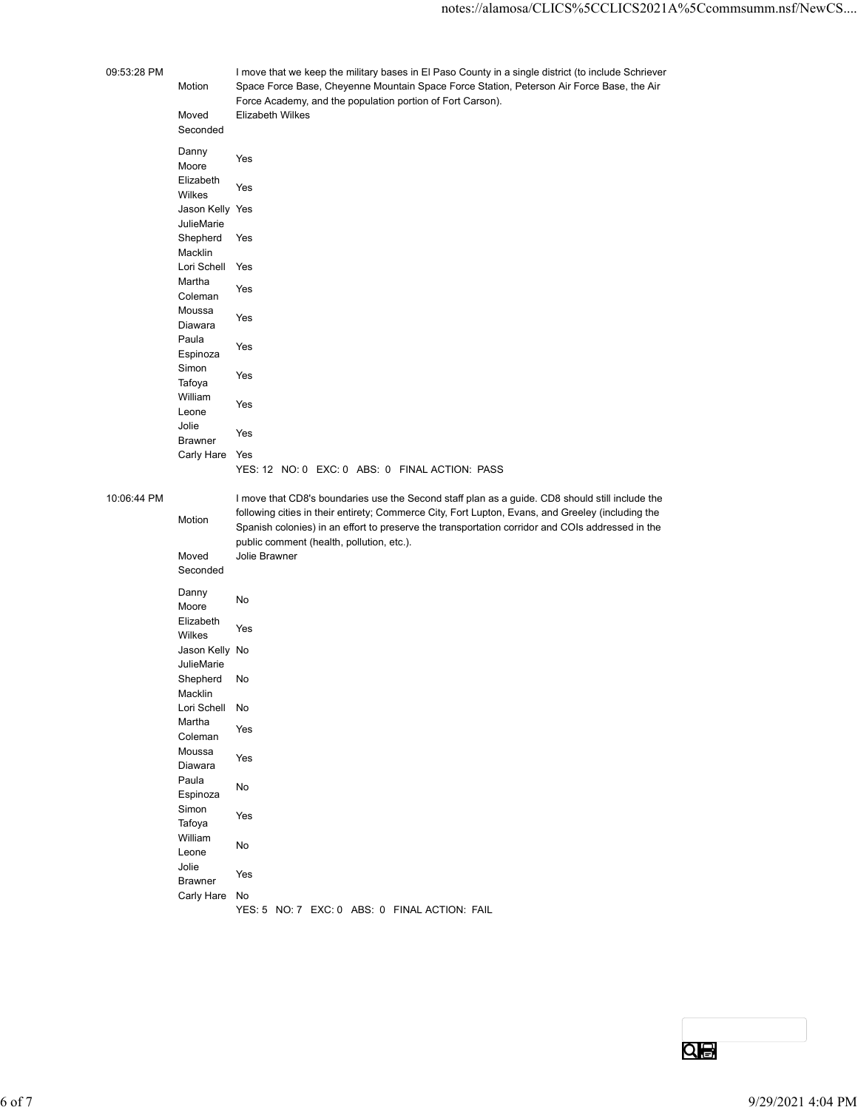|             |                                                                | notes://alamosa/CLICS%5CCLICS2021A%5Ccommsumm.nsf/Ne                                                                                                                                                                                                                                                     |
|-------------|----------------------------------------------------------------|----------------------------------------------------------------------------------------------------------------------------------------------------------------------------------------------------------------------------------------------------------------------------------------------------------|
| 09:53:28 PM | Motion<br>Moved<br>Seconded                                    | I move that we keep the military bases in El Paso County in a single district (to include Schriever<br>Space Force Base, Cheyenne Mountain Space Force Station, Peterson Air Force Base, the Air<br>Force Academy, and the population portion of Fort Carson).<br><b>Elizabeth Wilkes</b>                |
|             | Danny<br>Moore<br>Elizabeth<br>Wilkes<br>Jason Kelly Yes       | Yes<br>Yes                                                                                                                                                                                                                                                                                               |
|             | JulieMarie<br>Shepherd<br>Macklin<br>Lori Schell Yes<br>Martha | Yes                                                                                                                                                                                                                                                                                                      |
|             | Coleman<br>Moussa<br>Diawara<br>Paula                          | Yes<br>Yes<br>Yes                                                                                                                                                                                                                                                                                        |
|             | Espinoza<br>Simon<br>Tafoya<br>William                         | Yes<br>Yes                                                                                                                                                                                                                                                                                               |
|             | Leone<br>Jolie<br><b>Brawner</b><br>Carly Hare Yes             | Yes<br>YES: 12 NO: 0 EXC: 0 ABS: 0 FINAL ACTION: PASS                                                                                                                                                                                                                                                    |
| 10:06:44 PM | Motion                                                         | I move that CD8's boundaries use the Second staff plan as a guide. CD8 should still include the<br>following cities in their entirety; Commerce City, Fort Lupton, Evans, and Greeley (including the<br>Spanish colonies) in an effort to preserve the transportation corridor and COIs addressed in the |
|             | Moved<br>Seconded                                              | public comment (health, pollution, etc.).<br>Jolie Brawner                                                                                                                                                                                                                                               |
|             | Danny<br>Moore<br>Elizabeth                                    | No                                                                                                                                                                                                                                                                                                       |
|             | Wilkes<br>Jason Kelly No<br>JulieMarie                         | Yes                                                                                                                                                                                                                                                                                                      |
|             | Shepherd<br>Macklin<br>Lori Schell                             | No<br>No                                                                                                                                                                                                                                                                                                 |
|             | Martha<br>Coleman<br>Moussa                                    | Yes                                                                                                                                                                                                                                                                                                      |
|             | Diawara<br>Paula<br>Espinoza                                   | Yes<br>No                                                                                                                                                                                                                                                                                                |

## 10:06:44 F

I move that CD8's boundaries use the Second staff plan as a guide. CD8 should still include the following cities in their entirety; Commerce City, Fort Lupton, Evans, and Greeley (including the Spanish colonies) in an effort to preserve the transportation corridor and COIs addressed in the public comment (health, pollution, etc.).

| public comment (health, pollution, etc.).<br>Moved<br>Jolie Brawner<br>Seconded<br>Danny<br>No<br>Moore<br>Elizabeth<br>Yes<br>Wilkes<br>Jason Kelly No<br>JulieMarie<br>Shepherd No<br>Macklin<br>Lori Schell No<br>Martha<br>Yes<br>Coleman<br>Moussa<br>Yes<br>Diawara<br>Paula<br>${\sf No}$<br>Espinoza<br>Simon<br>Yes<br>Tafoya<br>William<br>$\operatorname{\mathsf{No}}$<br>Leone<br>Jolie<br>Yes<br>Brawner<br>Carly Hare No<br>YES: 5 NO: 7 EXC: 0 ABS: 0 FINAL ACTION: FAIL<br>Qe<br>9/29/2021 4:04 PM<br>6 of 7 |  | Spariism colonies) in an eilon to preserve the transportation corridor and COIS addressed in the |  |
|------------------------------------------------------------------------------------------------------------------------------------------------------------------------------------------------------------------------------------------------------------------------------------------------------------------------------------------------------------------------------------------------------------------------------------------------------------------------------------------------------------------------------|--|--------------------------------------------------------------------------------------------------|--|
|                                                                                                                                                                                                                                                                                                                                                                                                                                                                                                                              |  |                                                                                                  |  |
|                                                                                                                                                                                                                                                                                                                                                                                                                                                                                                                              |  |                                                                                                  |  |
|                                                                                                                                                                                                                                                                                                                                                                                                                                                                                                                              |  |                                                                                                  |  |
|                                                                                                                                                                                                                                                                                                                                                                                                                                                                                                                              |  |                                                                                                  |  |
|                                                                                                                                                                                                                                                                                                                                                                                                                                                                                                                              |  |                                                                                                  |  |
|                                                                                                                                                                                                                                                                                                                                                                                                                                                                                                                              |  |                                                                                                  |  |
|                                                                                                                                                                                                                                                                                                                                                                                                                                                                                                                              |  |                                                                                                  |  |
|                                                                                                                                                                                                                                                                                                                                                                                                                                                                                                                              |  |                                                                                                  |  |
|                                                                                                                                                                                                                                                                                                                                                                                                                                                                                                                              |  |                                                                                                  |  |
|                                                                                                                                                                                                                                                                                                                                                                                                                                                                                                                              |  |                                                                                                  |  |
|                                                                                                                                                                                                                                                                                                                                                                                                                                                                                                                              |  |                                                                                                  |  |
|                                                                                                                                                                                                                                                                                                                                                                                                                                                                                                                              |  |                                                                                                  |  |
|                                                                                                                                                                                                                                                                                                                                                                                                                                                                                                                              |  |                                                                                                  |  |
|                                                                                                                                                                                                                                                                                                                                                                                                                                                                                                                              |  |                                                                                                  |  |
|                                                                                                                                                                                                                                                                                                                                                                                                                                                                                                                              |  |                                                                                                  |  |
|                                                                                                                                                                                                                                                                                                                                                                                                                                                                                                                              |  |                                                                                                  |  |
|                                                                                                                                                                                                                                                                                                                                                                                                                                                                                                                              |  |                                                                                                  |  |
|                                                                                                                                                                                                                                                                                                                                                                                                                                                                                                                              |  |                                                                                                  |  |
|                                                                                                                                                                                                                                                                                                                                                                                                                                                                                                                              |  |                                                                                                  |  |
|                                                                                                                                                                                                                                                                                                                                                                                                                                                                                                                              |  |                                                                                                  |  |
|                                                                                                                                                                                                                                                                                                                                                                                                                                                                                                                              |  |                                                                                                  |  |
|                                                                                                                                                                                                                                                                                                                                                                                                                                                                                                                              |  |                                                                                                  |  |
|                                                                                                                                                                                                                                                                                                                                                                                                                                                                                                                              |  |                                                                                                  |  |
|                                                                                                                                                                                                                                                                                                                                                                                                                                                                                                                              |  |                                                                                                  |  |
|                                                                                                                                                                                                                                                                                                                                                                                                                                                                                                                              |  |                                                                                                  |  |
|                                                                                                                                                                                                                                                                                                                                                                                                                                                                                                                              |  |                                                                                                  |  |
|                                                                                                                                                                                                                                                                                                                                                                                                                                                                                                                              |  |                                                                                                  |  |
|                                                                                                                                                                                                                                                                                                                                                                                                                                                                                                                              |  |                                                                                                  |  |
|                                                                                                                                                                                                                                                                                                                                                                                                                                                                                                                              |  |                                                                                                  |  |
|                                                                                                                                                                                                                                                                                                                                                                                                                                                                                                                              |  |                                                                                                  |  |
|                                                                                                                                                                                                                                                                                                                                                                                                                                                                                                                              |  |                                                                                                  |  |
|                                                                                                                                                                                                                                                                                                                                                                                                                                                                                                                              |  |                                                                                                  |  |
|                                                                                                                                                                                                                                                                                                                                                                                                                                                                                                                              |  |                                                                                                  |  |
|                                                                                                                                                                                                                                                                                                                                                                                                                                                                                                                              |  |                                                                                                  |  |
|                                                                                                                                                                                                                                                                                                                                                                                                                                                                                                                              |  |                                                                                                  |  |
|                                                                                                                                                                                                                                                                                                                                                                                                                                                                                                                              |  |                                                                                                  |  |
|                                                                                                                                                                                                                                                                                                                                                                                                                                                                                                                              |  |                                                                                                  |  |
|                                                                                                                                                                                                                                                                                                                                                                                                                                                                                                                              |  |                                                                                                  |  |
|                                                                                                                                                                                                                                                                                                                                                                                                                                                                                                                              |  |                                                                                                  |  |